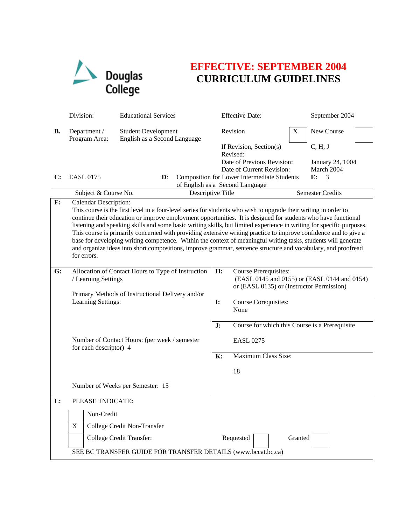

## **EFFECTIVE: SEPTEMBER 2004 CURRICULUM GUIDELINES**

|                | Division:                                                                                                                                                                                                                                                                                                                                                                                                                                                                                                                                                                                                                                                                                                                                                        | <b>Educational Services</b>                                |                | <b>Effective Date:</b>                                                                                             |   | September 2004              |  |
|----------------|------------------------------------------------------------------------------------------------------------------------------------------------------------------------------------------------------------------------------------------------------------------------------------------------------------------------------------------------------------------------------------------------------------------------------------------------------------------------------------------------------------------------------------------------------------------------------------------------------------------------------------------------------------------------------------------------------------------------------------------------------------------|------------------------------------------------------------|----------------|--------------------------------------------------------------------------------------------------------------------|---|-----------------------------|--|
| В.             | Department /<br>Program Area:                                                                                                                                                                                                                                                                                                                                                                                                                                                                                                                                                                                                                                                                                                                                    | <b>Student Development</b><br>English as a Second Language |                | Revision                                                                                                           | X | New Course                  |  |
|                |                                                                                                                                                                                                                                                                                                                                                                                                                                                                                                                                                                                                                                                                                                                                                                  |                                                            |                | If Revision, Section(s)<br>Revised:<br>Date of Previous Revision:                                                  |   | C, H, J<br>January 24, 1004 |  |
| $\bf C$ :      | <b>EASL 0175</b>                                                                                                                                                                                                                                                                                                                                                                                                                                                                                                                                                                                                                                                                                                                                                 | $\mathbf{D}$ :                                             |                | Date of Current Revision:<br><b>Composition for Lower Intermediate Students</b><br>of English as a Second Language |   | March 2004<br>3<br>E:       |  |
|                | Subject & Course No.                                                                                                                                                                                                                                                                                                                                                                                                                                                                                                                                                                                                                                                                                                                                             | Descriptive Title                                          |                |                                                                                                                    |   | <b>Semester Credits</b>     |  |
| $\mathbf{F}$ : | <b>Calendar Description:</b><br>This course is the first level in a four-level series for students who wish to upgrade their writing in order to<br>continue their education or improve employment opportunities. It is designed for students who have functional<br>listening and speaking skills and some basic writing skills, but limited experience in writing for specific purposes.<br>This course is primarily concerned with providing extensive writing practice to improve confidence and to give a<br>base for developing writing competence. Within the context of meaningful writing tasks, students will generate<br>and organize ideas into short compositions, improve grammar, sentence structure and vocabulary, and proofread<br>for errors. |                                                            |                |                                                                                                                    |   |                             |  |
| G:             | Allocation of Contact Hours to Type of Instruction<br>/ Learning Settings<br>Primary Methods of Instructional Delivery and/or<br>Learning Settings:                                                                                                                                                                                                                                                                                                                                                                                                                                                                                                                                                                                                              |                                                            | H:             | Course Prerequisites:<br>(EASL 0145 and 0155) or (EASL 0144 and 0154)<br>or (EASL 0135) or (Instructor Permission) |   |                             |  |
|                |                                                                                                                                                                                                                                                                                                                                                                                                                                                                                                                                                                                                                                                                                                                                                                  |                                                            | $\mathbf{I}$ : | Course Corequisites:<br>None                                                                                       |   |                             |  |
|                |                                                                                                                                                                                                                                                                                                                                                                                                                                                                                                                                                                                                                                                                                                                                                                  |                                                            |                | Course for which this Course is a Prerequisite                                                                     |   |                             |  |
|                | Number of Contact Hours: (per week / semester<br>for each descriptor) 4                                                                                                                                                                                                                                                                                                                                                                                                                                                                                                                                                                                                                                                                                          |                                                            |                | <b>EASL 0275</b>                                                                                                   |   |                             |  |
|                |                                                                                                                                                                                                                                                                                                                                                                                                                                                                                                                                                                                                                                                                                                                                                                  |                                                            | K:             | Maximum Class Size:                                                                                                |   |                             |  |
|                |                                                                                                                                                                                                                                                                                                                                                                                                                                                                                                                                                                                                                                                                                                                                                                  |                                                            |                | 18                                                                                                                 |   |                             |  |
|                |                                                                                                                                                                                                                                                                                                                                                                                                                                                                                                                                                                                                                                                                                                                                                                  | Number of Weeks per Semester: 15                           |                |                                                                                                                    |   |                             |  |
| L:             | PLEASE INDICATE:                                                                                                                                                                                                                                                                                                                                                                                                                                                                                                                                                                                                                                                                                                                                                 |                                                            |                |                                                                                                                    |   |                             |  |
|                | Non-Credit                                                                                                                                                                                                                                                                                                                                                                                                                                                                                                                                                                                                                                                                                                                                                       |                                                            |                |                                                                                                                    |   |                             |  |
|                | X                                                                                                                                                                                                                                                                                                                                                                                                                                                                                                                                                                                                                                                                                                                                                                | College Credit Non-Transfer                                |                |                                                                                                                    |   |                             |  |
|                | College Credit Transfer:<br>Requested<br>Granted                                                                                                                                                                                                                                                                                                                                                                                                                                                                                                                                                                                                                                                                                                                 |                                                            |                |                                                                                                                    |   |                             |  |
|                | SEE BC TRANSFER GUIDE FOR TRANSFER DETAILS (www.bccat.bc.ca)                                                                                                                                                                                                                                                                                                                                                                                                                                                                                                                                                                                                                                                                                                     |                                                            |                |                                                                                                                    |   |                             |  |